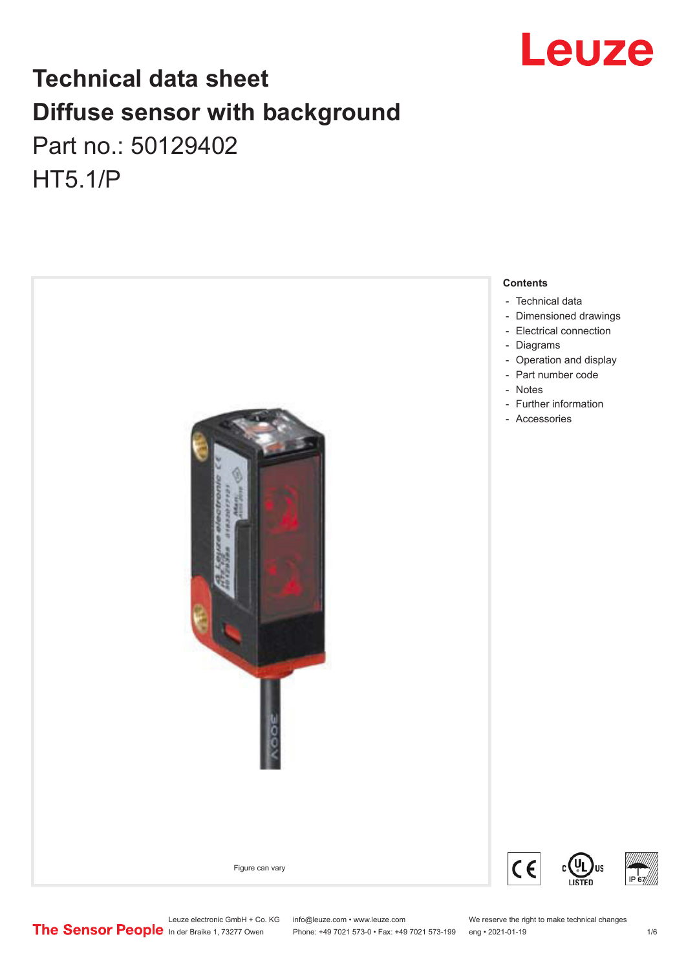

# **Technical data sheet Diffuse sensor with background**  Part no.: 50129402 HT5.1/P



Leuze electronic GmbH + Co. KG info@leuze.com • www.leuze.com We reserve the right to make technical changes<br>
The Sensor People in der Braike 1, 73277 Owen Phone: +49 7021 573-0 • Fax: +49 7021 573-199 eng • 2021-01-19

Phone: +49 7021 573-0 • Fax: +49 7021 573-199 eng • 2021-01-19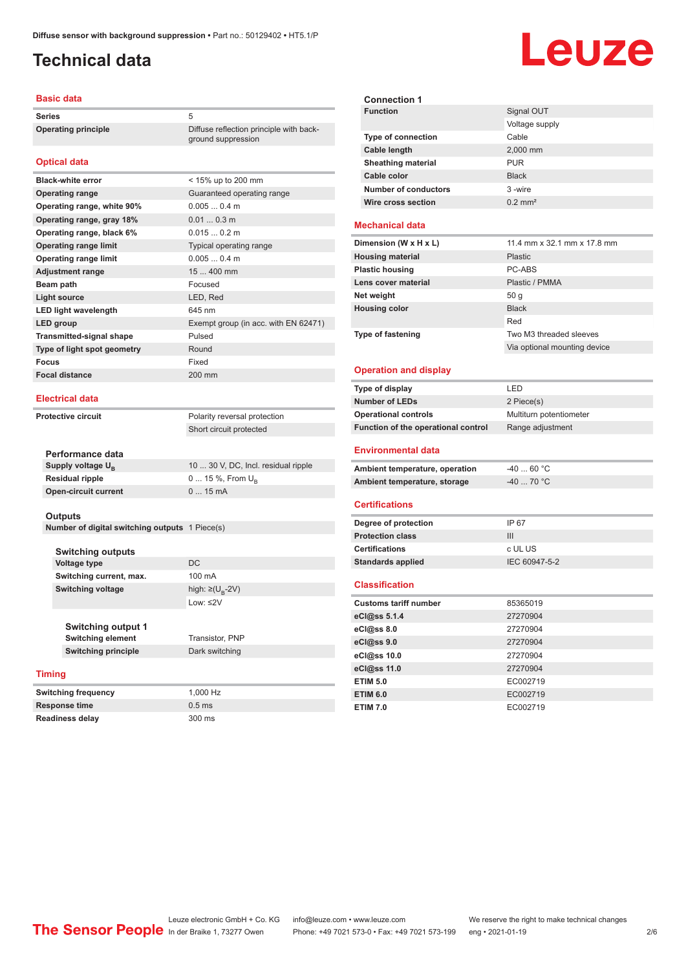# <span id="page-1-0"></span>**Technical data**

### **Basic data**

**Series** 5 **Operating principle** Diffuse reflection principle with back-

### **Optical data**

| <b>Black-white error</b>        | < 15% up to 200 mm                   |
|---------------------------------|--------------------------------------|
| <b>Operating range</b>          | Guaranteed operating range           |
| Operating range, white 90%      | 0.0050.4 m                           |
| Operating range, gray 18%       | $0.010.3$ m                          |
| Operating range, black 6%       | 0.0150.2 m                           |
| <b>Operating range limit</b>    | Typical operating range              |
| <b>Operating range limit</b>    | 0.0050.4 m                           |
| <b>Adjustment range</b>         | $15400$ mm                           |
| Beam path                       | Focused                              |
| Light source                    | LED, Red                             |
| <b>LED light wavelength</b>     | 645 nm                               |
| LED group                       | Exempt group (in acc. with EN 62471) |
| <b>Transmitted-signal shape</b> | Pulsed                               |
| Type of light spot geometry     | Round                                |
| Focus                           | Fixed                                |
| <b>Focal distance</b>           | 200 mm                               |
|                                 |                                      |

### **Electrical data**

**Protective circuit** Polarity reversal protection Short circuit protected

ground suppression

| Performance data              |                                     |
|-------------------------------|-------------------------------------|
| Supply voltage U <sub>p</sub> | 10  30 V, DC, Incl. residual ripple |
| <b>Residual ripple</b>        | $0 15 \%$ , From $U_{p}$            |
| Open-circuit current          | $015$ mA                            |
|                               |                                     |

### **Outputs**

**Number of digital switching outputs** 1 Piece(s)

| <b>Switching outputs</b> |                                   |
|--------------------------|-----------------------------------|
| <b>Voltage type</b>      | DC.                               |
| Switching current, max.  | 100 mA                            |
| <b>Switching voltage</b> | high: $\geq$ (U <sub>p</sub> -2V) |
|                          | Low: $\leq$ 2V                    |

**Switching output 1 Switching element** Transistor, PNP **Switching principle** Dark switching

### **Timing**

**Switching frequency** 1,000 Hz **Response time** 0.5 ms **Readiness delay** 300 ms



### **Mechanical data**

**Wire cross section** 0.2 mm<sup>2</sup>

| Dimension (W x H x L)    | 11.4 mm x 32.1 mm x 17.8 mm  |
|--------------------------|------------------------------|
| <b>Housing material</b>  | <b>Plastic</b>               |
| <b>Plastic housing</b>   | PC-ABS                       |
| Lens cover material      | Plastic / PMMA               |
| Net weight               | 50q                          |
| <b>Housing color</b>     | <b>Black</b>                 |
|                          | Red                          |
| <b>Type of fastening</b> | Two M3 threaded sleeves      |
|                          | Via optional mounting device |

### **Operation and display**

| Type of display                     | LED                     |  |
|-------------------------------------|-------------------------|--|
| <b>Number of LEDs</b>               | 2 Piece(s)              |  |
| <b>Operational controls</b>         | Multiturn potentiometer |  |
| Function of the operational control | Range adjustment        |  |
| <b>Environmental data</b>           |                         |  |
| Ambient temperature, operation      | $-40.60$ °C             |  |
| Ambient temperature, storage        | $-4070 °C$              |  |
| <b>Certifications</b>               |                         |  |
| Degree of protection                | IP 67                   |  |
| <b>Protection class</b>             | III                     |  |
| <b>Certifications</b>               | c UL US                 |  |
| <b>Standards applied</b>            | IEC 60947-5-2           |  |
| <b>Classification</b>               |                         |  |
| <b>Customs tariff number</b>        | 85365019                |  |
| eCl@ss 5.1.4                        | 27270904                |  |
| eCl@ss 8.0                          | 27270904                |  |
| eCl@ss 9.0                          | 27270904                |  |
| eCl@ss 10.0                         | 27270904                |  |



# Leuze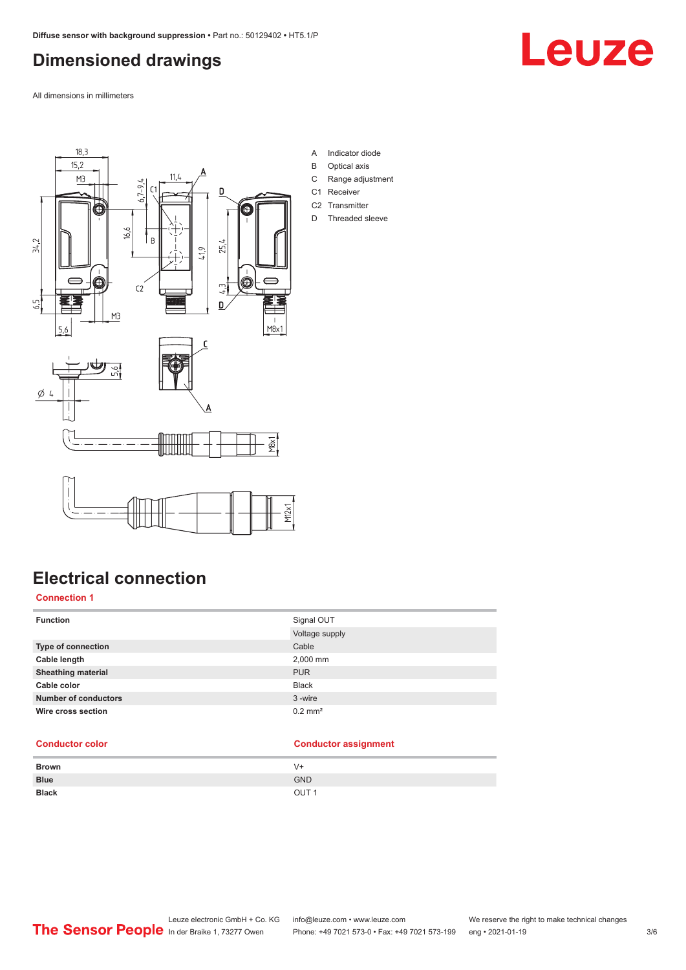# <span id="page-2-0"></span>**Dimensioned drawings**

All dimensions in millimeters





- B Optical axis
- C Range adjustment
- C1 Receiver
- C2 Transmitter
- D Threaded sleeve



# **Electrical connection**

**Connection 1**

| <b>Function</b>             | Signal OUT            |
|-----------------------------|-----------------------|
|                             | Voltage supply        |
| <b>Type of connection</b>   | Cable                 |
| Cable length                | 2,000 mm              |
| <b>Sheathing material</b>   | <b>PUR</b>            |
| Cable color                 | <b>Black</b>          |
| <b>Number of conductors</b> | 3-wire                |
| Wire cross section          | $0.2$ mm <sup>2</sup> |

### **Conductor color Conductor assignment**

| <b>Brown</b> | V+               |
|--------------|------------------|
| <b>Blue</b>  | <b>GND</b>       |
| <b>Black</b> | OUT <sub>1</sub> |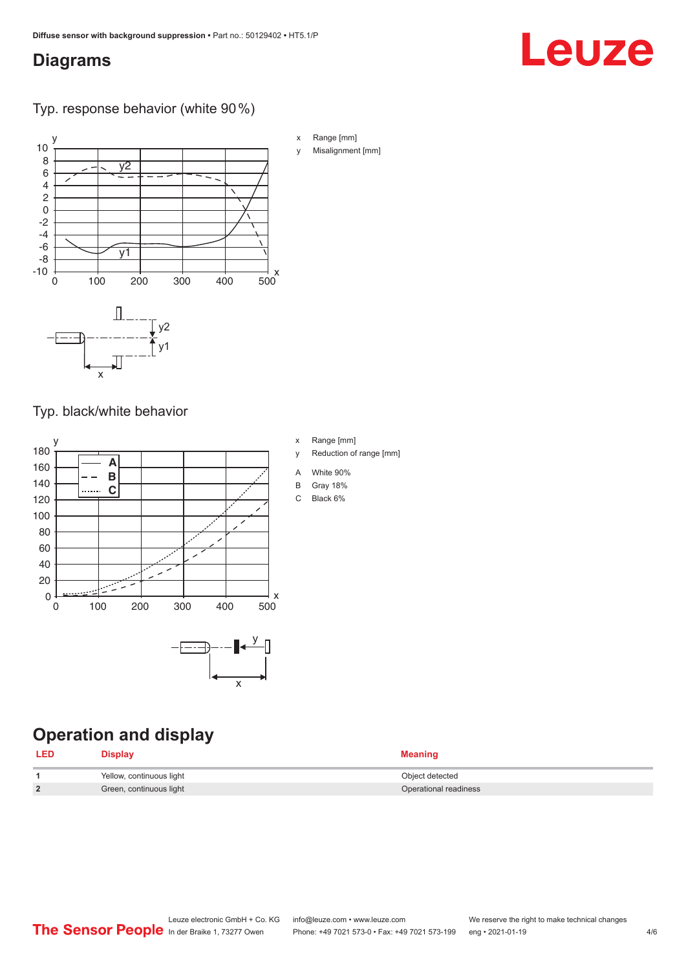# <span id="page-3-0"></span>**Diagrams**

### Typ. response behavior (white 90 %)

![](_page_3_Figure_3.jpeg)

### Typ. black/white behavior

![](_page_3_Figure_5.jpeg)

# **Operation and display**

| <b>LED</b> | Display                  | <b>Meaning</b>        |
|------------|--------------------------|-----------------------|
|            | Yellow, continuous light | Object detected       |
|            | Green, continuous light  | Operational readiness |

x Range [mm] y Reduction of range [mm]

- A White 90%
- B Gray 18%
- C Black 6%
- 
- y Misalignment [mm]

Leuze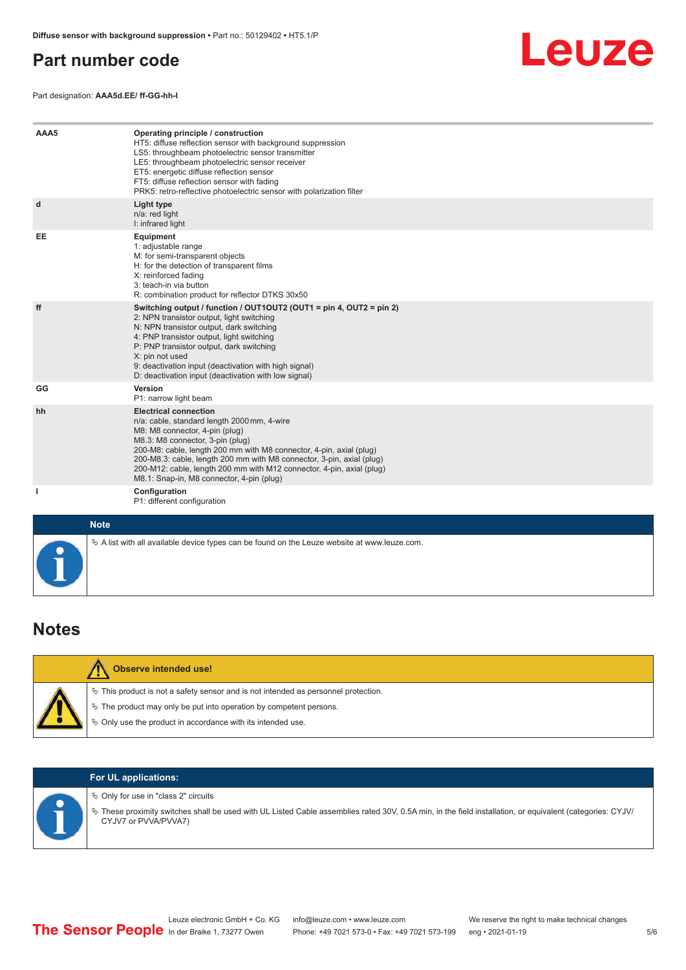# <span id="page-4-0"></span>**Part number code**

Part designation: **AAA5d.EE/ ff-GG-hh-I**

![](_page_4_Picture_3.jpeg)

| AAA5         | Operating principle / construction<br>HT5: diffuse reflection sensor with background suppression<br>LS5: throughbeam photoelectric sensor transmitter<br>LE5: throughbeam photoelectric sensor receiver<br>ET5: energetic diffuse reflection sensor<br>FT5: diffuse reflection sensor with fading<br>PRK5: retro-reflective photoelectric sensor with polarization filter                                               |
|--------------|-------------------------------------------------------------------------------------------------------------------------------------------------------------------------------------------------------------------------------------------------------------------------------------------------------------------------------------------------------------------------------------------------------------------------|
| d            | <b>Light type</b><br>n/a: red light<br>I: infrared light                                                                                                                                                                                                                                                                                                                                                                |
| EE           | Equipment<br>1: adjustable range<br>M: for semi-transparent objects<br>H: for the detection of transparent films<br>X: reinforced fading<br>3: teach-in via button<br>R: combination product for reflector DTKS 30x50                                                                                                                                                                                                   |
| ff           | Switching output / function / OUT1OUT2 (OUT1 = pin 4, OUT2 = pin 2)<br>2: NPN transistor output, light switching<br>N: NPN transistor output, dark switching<br>4: PNP transistor output, light switching<br>P: PNP transistor output, dark switching<br>X: pin not used<br>9: deactivation input (deactivation with high signal)<br>D: deactivation input (deactivation with low signal)                               |
| GG           | Version<br>P1: narrow light beam                                                                                                                                                                                                                                                                                                                                                                                        |
| hh           | <b>Electrical connection</b><br>n/a: cable, standard length 2000 mm, 4-wire<br>M8: M8 connector, 4-pin (plug)<br>M8.3: M8 connector, 3-pin (plug)<br>200-M8: cable, length 200 mm with M8 connector, 4-pin, axial (plug)<br>200-M8.3: cable, length 200 mm with M8 connector, 3-pin, axial (plug)<br>200-M12: cable, length 200 mm with M12 connector, 4-pin, axial (plug)<br>M8.1: Snap-in, M8 connector, 4-pin (plug) |
| $\mathbf{I}$ | Configuration<br>P1: different configuration                                                                                                                                                                                                                                                                                                                                                                            |
| <b>Note</b>  |                                                                                                                                                                                                                                                                                                                                                                                                                         |

| $\Diamond$ A list with all available device types can be found on the Leuze website at www.leuze.com. |
|-------------------------------------------------------------------------------------------------------|
|                                                                                                       |
|                                                                                                       |

### **Notes**

| <b>Observe intended use!</b>                                                                                                                                                                                               |
|----------------------------------------------------------------------------------------------------------------------------------------------------------------------------------------------------------------------------|
| $\%$ This product is not a safety sensor and is not intended as personnel protection.<br>₹ The product may only be put into operation by competent persons.<br>♦ Only use the product in accordance with its intended use. |

### **For UL applications:**

 $\%$  Only for use in "class 2" circuits

ª These proximity switches shall be used with UL Listed Cable assemblies rated 30V, 0.5A min, in the field installation, or equivalent (categories: CYJV/ CYJV7 or PVVA/PVVA7)